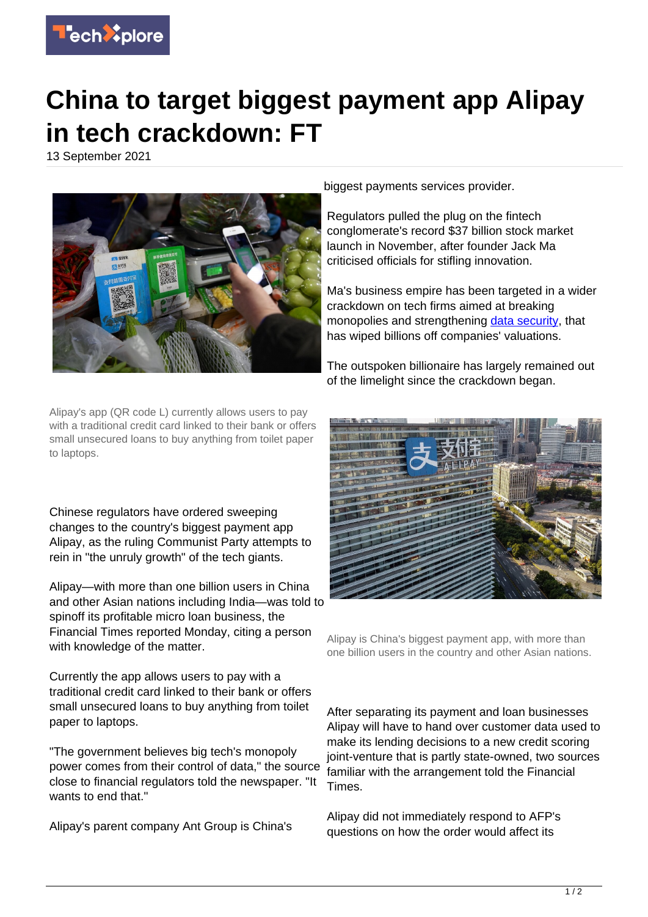

## **China to target biggest payment app Alipay in tech crackdown: FT**

13 September 2021



biggest payments services provider.

Regulators pulled the plug on the fintech conglomerate's record \$37 billion stock market launch in November, after founder Jack Ma criticised officials for stifling innovation.

Ma's business empire has been targeted in a wider crackdown on tech firms aimed at breaking monopolies and strengthening [data security](https://techxplore.com/tags/data+security/), that has wiped billions off companies' valuations.

The outspoken billionaire has largely remained out of the limelight since the crackdown began.

Alipay's app (QR code L) currently allows users to pay with a traditional credit card linked to their bank or offers small unsecured loans to buy anything from toilet paper to laptops.

Chinese regulators have ordered sweeping changes to the country's biggest payment app Alipay, as the ruling Communist Party attempts to rein in "the unruly growth" of the tech giants.

Alipay—with more than one billion users in China and other Asian nations including India—was told to spinoff its profitable micro loan business, the Financial Times reported Monday, citing a person with knowledge of the matter.

Currently the app allows users to pay with a traditional credit card linked to their bank or offers small unsecured loans to buy anything from toilet paper to laptops.

"The government believes big tech's monopoly power comes from their control of data," the source close to financial regulators told the newspaper. "It wants to end that."

Alipay's parent company Ant Group is China's



Alipay is China's biggest payment app, with more than one billion users in the country and other Asian nations.

After separating its payment and loan businesses Alipay will have to hand over customer data used to make its lending decisions to a new credit scoring joint-venture that is partly state-owned, two sources familiar with the arrangement told the Financial Times.

Alipay did not immediately respond to AFP's questions on how the order would affect its